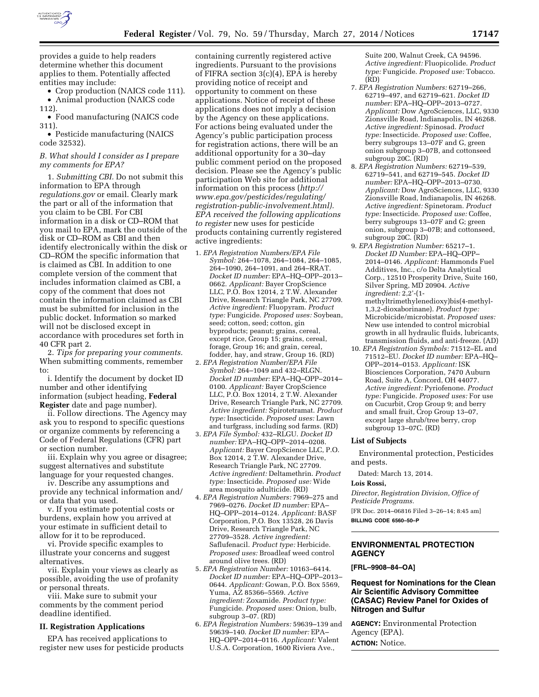

provides a guide to help readers determine whether this document applies to them. Potentially affected entities may include:

• Crop production (NAICS code 111).

• Animal production (NAICS code 112).

• Food manufacturing (NAICS code 311).

• Pesticide manufacturing (NAICS code 32532).

### *B. What should I consider as I prepare my comments for EPA?*

1. *Submitting CBI.* Do not submit this information to EPA through *regulations.gov* or email. Clearly mark the part or all of the information that you claim to be CBI. For CBI information in a disk or CD–ROM that you mail to EPA, mark the outside of the disk or CD–ROM as CBI and then identify electronically within the disk or CD–ROM the specific information that is claimed as CBI. In addition to one complete version of the comment that includes information claimed as CBI, a copy of the comment that does not contain the information claimed as CBI must be submitted for inclusion in the public docket. Information so marked will not be disclosed except in accordance with procedures set forth in 40 CFR part 2.

2. *Tips for preparing your comments.*  When submitting comments, remember to:

i. Identify the document by docket ID number and other identifying information (subject heading, **Federal Register** date and page number).

ii. Follow directions. The Agency may ask you to respond to specific questions or organize comments by referencing a Code of Federal Regulations (CFR) part or section number.

iii. Explain why you agree or disagree; suggest alternatives and substitute language for your requested changes.

iv. Describe any assumptions and provide any technical information and/ or data that you used.

v. If you estimate potential costs or burdens, explain how you arrived at your estimate in sufficient detail to allow for it to be reproduced.

vi. Provide specific examples to illustrate your concerns and suggest alternatives.

vii. Explain your views as clearly as possible, avoiding the use of profanity or personal threats.

viii. Make sure to submit your comments by the comment period deadline identified.

#### **II. Registration Applications**

EPA has received applications to register new uses for pesticide products

containing currently registered active ingredients. Pursuant to the provisions of FIFRA section 3(c)(4), EPA is hereby providing notice of receipt and opportunity to comment on these applications. Notice of receipt of these applications does not imply a decision by the Agency on these applications. For actions being evaluated under the Agency's public participation process for registration actions, there will be an additional opportunity for a 30–day public comment period on the proposed decision. Please see the Agency's public participation Web site for additional information on this process (*[http://](http://www.epa.gov/pesticides/regulating/registration-public-involvement.html) [www.epa.gov/pesticides/regulating/](http://www.epa.gov/pesticides/regulating/registration-public-involvement.html) [registration-public-involvement.html\).](http://www.epa.gov/pesticides/regulating/registration-public-involvement.html) EPA received the following applications to register* new uses for pesticide products containing currently registered active ingredients:

- 1. *EPA Registration Numbers/EPA File Symbol:* 264–1078, 264–1084, 264–1085, 264–1090, 264–1091, and 264–RRAT. *Docket ID number:* EPA–HQ–OPP–2013– 0662. *Applicant:* Bayer CropScience LLC, P.O. Box 12014, 2 T.W. Alexander Drive, Research Triangle Park, NC 27709. *Active ingredient:* Fluopyram. *Product type:* Fungicide. *Proposed uses:* Soybean, seed; cotton, seed; cotton, gin byproducts; peanut; grains, cereal, except rice, Group 15; grains, cereal, forage, Group 16; and grain, cereal, fodder, hay, and straw, Group 16. (RD)
- 2. *EPA Registration Number/EPA File Symbol:* 264–1049 and 432–RLGN. *Docket ID number:* EPA–HQ–OPP–2014– 0100. *Applicant:* Bayer CropScience LLC, P.O. Box 12014, 2 T.W. Alexander Drive, Research Triangle Park, NC 27709. *Active ingredient:* Spirotetramat. *Product type:* Insecticide. *Proposed uses:* Lawn and turfgrass, including sod farms. (RD)
- 3. *EPA File Symbol:* 432–RLGU. *Docket ID number:* EPA–HQ–OPP–2014–0208. *Applicant:* Bayer CropScience LLC, P.O. Box 12014, 2 T.W. Alexander Drive, Research Triangle Park, NC 27709. *Active ingredient:* Deltamethrin. *Product type:* Insecticide. *Proposed use:* Wide area mosquito adulticide. (RD)
- 4. *EPA Registration Numbers:* 7969–275 and 7969–0276. *Docket ID number:* EPA– HQ–OPP–2014–0124. *Applicant:* BASF Corporation, P.O. Box 13528, 26 Davis Drive, Research Triangle Park, NC 27709–3528. *Active ingredient:*  Saflufenacil. *Product type:* Herbicide. *Proposed uses:* Broadleaf weed control around olive trees. (RD)
- 5. *EPA Registration Number:* 10163–6414. *Docket ID number:* EPA–HQ–OPP–2013– 0644. *Applicant:* Gowan, P.O. Box 5569, Yuma, AZ 85366–5569. *Active ingredient:* Zoxamide. *Product type:*  Fungicide. *Proposed uses:* Onion, bulb, subgroup 3–07. (RD)
- 6. *EPA Registration Numbers:* 59639–139 and 59639–140. *Docket ID number:* EPA– HQ–OPP–2014–0116. *Applicant:* Valent U.S.A. Corporation, 1600 Riviera Ave.,

Suite 200, Walnut Creek, CA 94596. *Active ingredient:* Fluopicolide. *Product type:* Fungicide. *Proposed use:* Tobacco. (RD)

- 7. *EPA Registration Numbers:* 62719–266, 62719–497, and 62719–621. *Docket ID number:* EPA–HQ–OPP–2013–0727. *Applicant:* Dow AgroSciences, LLC, 9330 Zionsville Road, Indianapolis, IN 46268. *Active ingredient:* Spinosad. *Product type:* Insecticide. *Proposed use:* Coffee, berry subgroups 13–07F and G, green onion subgroup 3–07B, and cottonseed subgroup 20C. (RD)
- 8. *EPA Registration Numbers:* 62719–539, 62719–541, and 62719–545. *Docket ID number:* EPA–HQ–OPP–2013–0730. *Applicant:* Dow AgroSciences, LLC, 9330 Zionsville Road, Indianapolis, IN 46268. *Active ingredient:* Spinetoram. *Product type:* Insecticide. *Proposed use:* Coffee, berry subgroups 13–07F and G; green onion, subgroup 3–07B; and cottonseed, subgroup 20C. (RD)
- 9. *EPA Registration Number:* 65217–1. *Docket ID Number:* EPA–HQ–OPP– 2014–0146. *Applicant:* Hammonds Fuel Additives, Inc., c/o Delta Analytical Corp., 12510 Prosperity Drive, Suite 160, Silver Spring, MD 20904. *Active ingredient:* 2,2'-(1 methyltrimethylenedioxy)bis(4-methyl-1,3,2-dioxaborinane). *Product type:*  Microbicide/microbistat. *Proposed uses:*  New use intended to control microbial growth in all hydraulic fluids, lubricants, transmission fluids, and anti-freeze. (AD)
- 10. *EPA Registration Symbols:* 71512–EL and 71512–EU. *Docket ID number:* EPA–HQ– OPP–2014–0153. *Applicant:* ISK Biosciences Corporation, 7470 Auburn Road, Suite A, Concord, OH 44077. *Active ingredient:* Pyriofenone. *Product type:* Fungicide. *Proposed uses:* For use on Cucurbit, Crop Group 9; and berry and small fruit, Crop Group 13–07, except large shrub/tree berry, crop subgroup 13–07C. (RD)

# **List of Subjects**

Environmental protection, Pesticides and pests.

Dated: March 13, 2014.

#### **Lois Rossi,**

*Director, Registration Division, Office of Pesticide Programs.* 

[FR Doc. 2014–06816 Filed 3–26–14; 8:45 am]

**BILLING CODE 6560–50–P** 

### **ENVIRONMENTAL PROTECTION AGENCY**

#### **[FRL–9908–84–OA]**

# **Request for Nominations for the Clean Air Scientific Advisory Committee (CASAC) Review Panel for Oxides of Nitrogen and Sulfur**

**AGENCY:** Environmental Protection Agency (EPA). **ACTION:** Notice.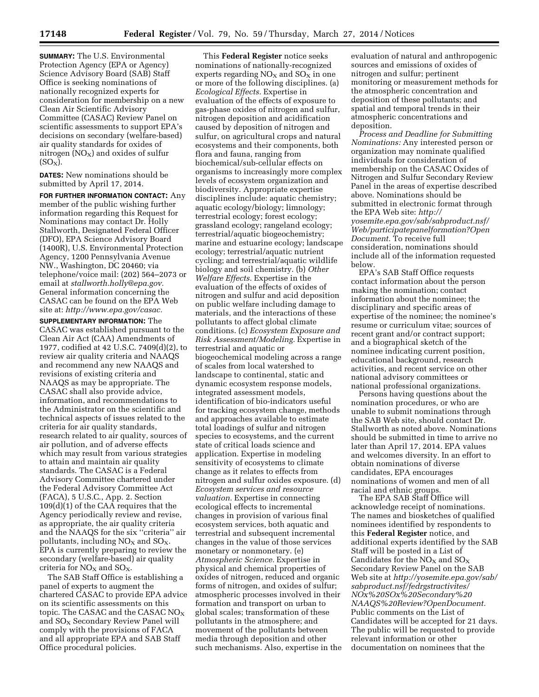**SUMMARY:** The U.S. Environmental Protection Agency (EPA or Agency) Science Advisory Board (SAB) Staff Office is seeking nominations of nationally recognized experts for consideration for membership on a new Clean Air Scientific Advisory Committee (CASAC) Review Panel on scientific assessments to support EPA's decisions on secondary (welfare-based) air quality standards for oxides of nitrogen  $(NO_X)$  and oxides of sulfur  $(SO_X)$ .

**DATES:** New nominations should be submitted by April 17, 2014.

**FOR FURTHER INFORMATION CONTACT:** Any member of the public wishing further information regarding this Request for Nominations may contact Dr. Holly Stallworth, Designated Federal Officer (DFO), EPA Science Advisory Board (1400R), U.S. Environmental Protection Agency, 1200 Pennsylvania Avenue NW., Washington, DC 20460; via telephone/voice mail: (202) 564–2073 or email at *[stallworth.holly@epa.gov.](mailto:stallworth.holly@epa.gov)*  General information concerning the CASAC can be found on the EPA Web site at: *[http://www.epa.gov/casac.](http://www.epa.gov/casac)* 

**SUPPLEMENTARY INFORMATION:** The CASAC was established pursuant to the Clean Air Act (CAA) Amendments of 1977, codified at 42 U.S.C. 7409(d)(2), to review air quality criteria and NAAQS and recommend any new NAAQS and revisions of existing criteria and NAAQS as may be appropriate. The CASAC shall also provide advice, information, and recommendations to the Administrator on the scientific and technical aspects of issues related to the criteria for air quality standards, research related to air quality, sources of air pollution, and of adverse effects which may result from various strategies to attain and maintain air quality standards. The CASAC is a Federal Advisory Committee chartered under the Federal Advisory Committee Act (FACA), 5 U.S.C., App. 2. Section 109(d)(1) of the CAA requires that the Agency periodically review and revise, as appropriate, the air quality criteria and the NAAQS for the six ''criteria'' air pollutants, including  $NO<sub>x</sub>$  and  $SO<sub>x</sub>$ . EPA is currently preparing to review the secondary (welfare-based) air quality criteria for  $NO<sub>x</sub>$  and  $SO<sub>x</sub>$ .

The SAB Staff Office is establishing a panel of experts to augment the chartered CASAC to provide EPA advice on its scientific assessments on this topic. The CASAC and the CASAC  $NO_X$ and SOX Secondary Review Panel will comply with the provisions of FACA and all appropriate EPA and SAB Staff Office procedural policies.

This **Federal Register** notice seeks nominations of nationally-recognized experts regarding  $NO<sub>x</sub>$  and  $SO<sub>x</sub>$  in one or more of the following disciplines. (a) *Ecological Effects.* Expertise in evaluation of the effects of exposure to gas-phase oxides of nitrogen and sulfur, nitrogen deposition and acidification caused by deposition of nitrogen and sulfur, on agricultural crops and natural ecosystems and their components, both flora and fauna, ranging from biochemical/sub-cellular effects on organisms to increasingly more complex levels of ecosystem organization and biodiversity. Appropriate expertise disciplines include: aquatic chemistry; aquatic ecology/biology; limnology; terrestrial ecology; forest ecology; grassland ecology; rangeland ecology; terrestrial/aquatic biogeochemistry; marine and estuarine ecology; landscape ecology; terrestrial/aquatic nutrient cycling; and terrestrial/aquatic wildlife biology and soil chemistry. (b) *Other Welfare Effects.* Expertise in the evaluation of the effects of oxides of nitrogen and sulfur and acid deposition on public welfare including damage to materials, and the interactions of these pollutants to affect global climate conditions. (c) *Ecosystem Exposure and Risk Assessment/Modeling.* Expertise in terrestrial and aquatic or biogeochemical modeling across a range of scales from local watershed to landscape to continental, static and dynamic ecosystem response models, integrated assessment models, identification of bio-indicators useful for tracking ecosystem change, methods and approaches available to estimate total loadings of sulfur and nitrogen species to ecosystems, and the current state of critical loads science and application. Expertise in modeling sensitivity of ecosystems to climate change as it relates to effects from nitrogen and sulfur oxides exposure. (d) *Ecosystem services and resource valuation.* Expertise in connecting ecological effects to incremental changes in provision of various final ecosystem services, both aquatic and terrestrial and subsequent incremental changes in the value of those services monetary or nonmonetary. (e) *Atmospheric Science.* Expertise in physical and chemical properties of oxides of nitrogen, reduced and organic forms of nitrogen, and oxides of sulfur; atmospheric processes involved in their formation and transport on urban to global scales; transformation of these pollutants in the atmosphere; and movement of the pollutants between media through deposition and other such mechanisms. Also, expertise in the

evaluation of natural and anthropogenic sources and emissions of oxides of nitrogen and sulfur; pertinent monitoring or measurement methods for the atmospheric concentration and deposition of these pollutants; and spatial and temporal trends in their atmospheric concentrations and deposition.

*Process and Deadline for Submitting Nominations:* Any interested person or organization may nominate qualified individuals for consideration of membership on the CASAC Oxides of Nitrogen and Sulfur Secondary Review Panel in the areas of expertise described above. Nominations should be submitted in electronic format through the EPA Web site: *[http://](http://yosemite.epa.gov/sab/sabproduct.nsf/Web/participatepanelformation?OpenDocument)  [yosemite.epa.gov/sab/sabproduct.nsf/](http://yosemite.epa.gov/sab/sabproduct.nsf/Web/participatepanelformation?OpenDocument)  [Web/participatepanelformation?Open](http://yosemite.epa.gov/sab/sabproduct.nsf/Web/participatepanelformation?OpenDocument) [Document.](http://yosemite.epa.gov/sab/sabproduct.nsf/Web/participatepanelformation?OpenDocument)* To receive full consideration, nominations should include all of the information requested below.

EPA's SAB Staff Office requests contact information about the person making the nomination; contact information about the nominee; the disciplinary and specific areas of expertise of the nominee; the nominee's resume or curriculum vitae; sources of recent grant and/or contract support; and a biographical sketch of the nominee indicating current position, educational background, research activities, and recent service on other national advisory committees or national professional organizations.

Persons having questions about the nomination procedures, or who are unable to submit nominations through the SAB Web site, should contact Dr. Stallworth as noted above. Nominations should be submitted in time to arrive no later than April 17, 2014. EPA values and welcomes diversity. In an effort to obtain nominations of diverse candidates, EPA encourages nominations of women and men of all racial and ethnic groups.

The EPA SAB Staff Office will acknowledge receipt of nominations. The names and biosketches of qualified nominees identified by respondents to this **Federal Register** notice, and additional experts identified by the SAB Staff will be posted in a List of Candidates for the  $NO<sub>x</sub>$  and  $SO<sub>x</sub>$ Secondary Review Panel on the SAB Web site at *[http://yosemite.epa.gov/sab/](http://yosemite.epa.gov/sab/sabproduct.nsf/fedrgstractivites/NOx%20SOx%20Secondary%20NAAQS%20Review?OpenDocument) [sabproduct.nsf/fedrgstractivites/](http://yosemite.epa.gov/sab/sabproduct.nsf/fedrgstractivites/NOx%20SOx%20Secondary%20NAAQS%20Review?OpenDocument) [NOx%20SOx%20Secondary%20](http://yosemite.epa.gov/sab/sabproduct.nsf/fedrgstractivites/NOx%20SOx%20Secondary%20NAAQS%20Review?OpenDocument) [NAAQS%20Review?OpenDocument.](http://yosemite.epa.gov/sab/sabproduct.nsf/fedrgstractivites/NOx%20SOx%20Secondary%20NAAQS%20Review?OpenDocument)*  Public comments on the List of Candidates will be accepted for 21 days. The public will be requested to provide relevant information or other documentation on nominees that the